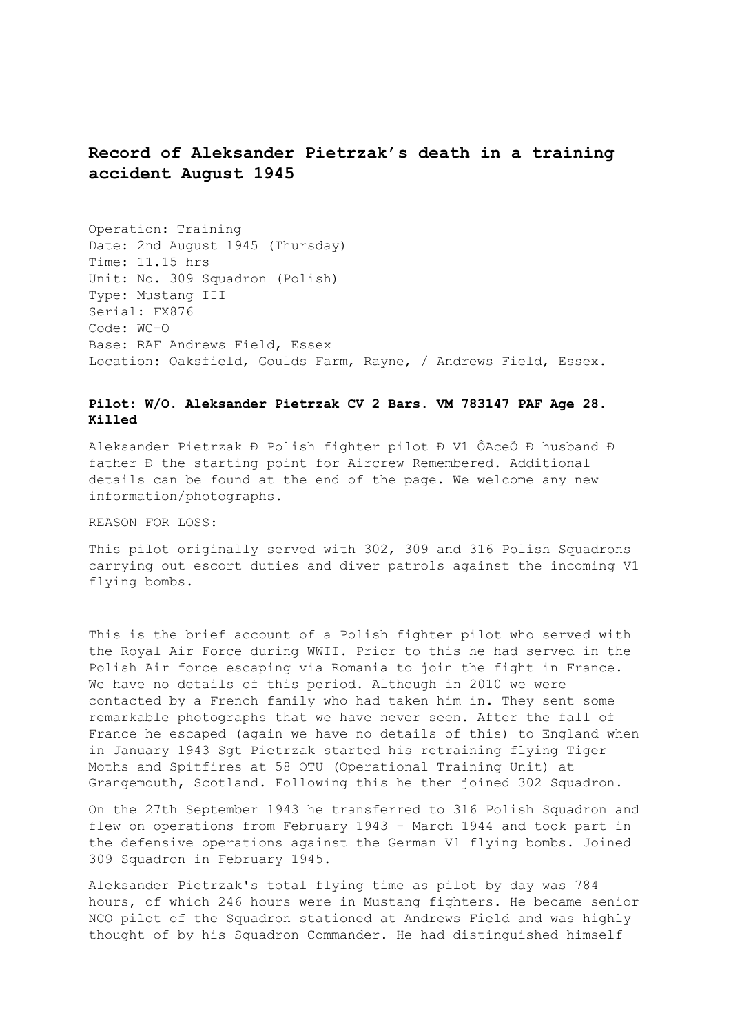## **Record of Aleksander Pietrzak's death in a training accident August 1945**

Operation: Training Date: 2nd August 1945 (Thursday) Time: 11.15 hrs Unit: No. 309 Squadron (Polish) Type: Mustang III Serial: FX876 Code: WC-O Base: RAF Andrews Field, Essex Location: Oaksfield, Goulds Farm, Rayne, / Andrews Field, Essex.

## **Pilot: W/O. Aleksander Pietrzak CV 2 Bars. VM 783147 PAF Age 28. Killed**

Aleksander Pietrzak Ð Polish fighter pilot Ð V1 ÔAceÕ Ð husband Ð father Ð the starting point for Aircrew Remembered. Additional details can be found at the end of the page. We welcome any new information/photographs.

REASON FOR LOSS:

This pilot originally served with 302, 309 and 316 Polish Squadrons carrying out escort duties and diver patrols against the incoming V1 flying bombs.

This is the brief account of a Polish fighter pilot who served with the Royal Air Force during WWII. Prior to this he had served in the Polish Air force escaping via Romania to join the fight in France. We have no details of this period. Although in 2010 we were contacted by a French family who had taken him in. They sent some remarkable photographs that we have never seen. After the fall of France he escaped (again we have no details of this) to England when in January 1943 Sgt Pietrzak started his retraining flying Tiger Moths and Spitfires at 58 OTU (Operational Training Unit) at Grangemouth, Scotland. Following this he then joined 302 Squadron.

On the 27th September 1943 he transferred to 316 Polish Squadron and flew on operations from February 1943 - March 1944 and took part in the defensive operations against the German V1 flying bombs. Joined 309 Squadron in February 1945.

Aleksander Pietrzak's total flying time as pilot by day was 784 hours, of which 246 hours were in Mustang fighters. He became senior NCO pilot of the Squadron stationed at Andrews Field and was highly thought of by his Squadron Commander. He had distinguished himself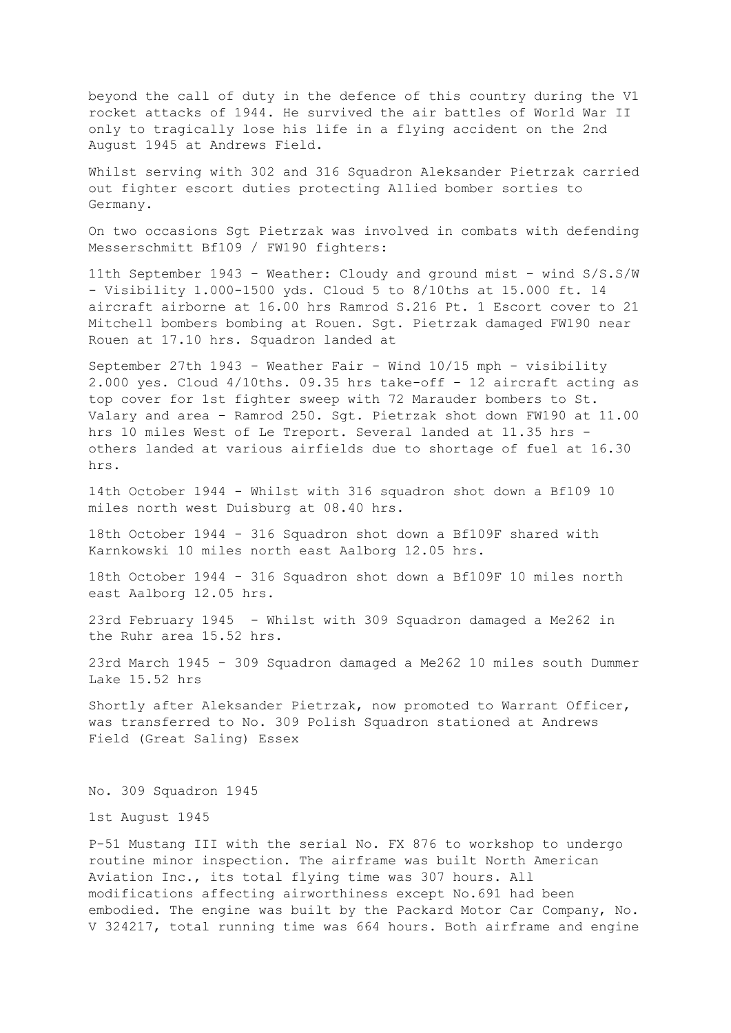beyond the call of duty in the defence of this country during the V1 rocket attacks of 1944. He survived the air battles of World War II only to tragically lose his life in a flying accident on the 2nd August 1945 at Andrews Field.

Whilst serving with 302 and 316 Squadron Aleksander Pietrzak carried out fighter escort duties protecting Allied bomber sorties to Germany.

On two occasions Sgt Pietrzak was involved in combats with defending Messerschmitt Bf109 / FW190 fighters:

11th September 1943 - Weather: Cloudy and ground mist - wind S/S.S/W - Visibility 1.000-1500 yds. Cloud 5 to 8/10ths at 15.000 ft. 14 aircraft airborne at 16.00 hrs Ramrod S.216 Pt. 1 Escort cover to 21 Mitchell bombers bombing at Rouen. Sgt. Pietrzak damaged FW190 near Rouen at 17.10 hrs. Squadron landed at

September 27th 1943 - Weather Fair - Wind 10/15 mph - visibility 2.000 yes. Cloud 4/10ths. 09.35 hrs take-off - 12 aircraft acting as top cover for 1st fighter sweep with 72 Marauder bombers to St. Valary and area - Ramrod 250. Sgt. Pietrzak shot down FW190 at 11.00 hrs 10 miles West of Le Treport. Several landed at 11.35 hrs others landed at various airfields due to shortage of fuel at 16.30 hrs.

14th October 1944 - Whilst with 316 squadron shot down a Bf109 10 miles north west Duisburg at 08.40 hrs.

18th October 1944 - 316 Squadron shot down a Bf109F shared with Karnkowski 10 miles north east Aalborg 12.05 hrs.

18th October 1944 - 316 Squadron shot down a Bf109F 10 miles north east Aalborg 12.05 hrs.

23rd February 1945 - Whilst with 309 Squadron damaged a Me262 in the Ruhr area 15.52 hrs.

23rd March 1945 - 309 Squadron damaged a Me262 10 miles south Dummer Lake 15.52 hrs

Shortly after Aleksander Pietrzak, now promoted to Warrant Officer, was transferred to No. 309 Polish Squadron stationed at Andrews Field (Great Saling) Essex

No. 309 Squadron 1945

1st August 1945

P-51 Mustang III with the serial No. FX 876 to workshop to undergo routine minor inspection. The airframe was built North American Aviation Inc., its total flying time was 307 hours. All modifications affecting airworthiness except No.691 had been embodied. The engine was built by the Packard Motor Car Company, No. V 324217, total running time was 664 hours. Both airframe and engine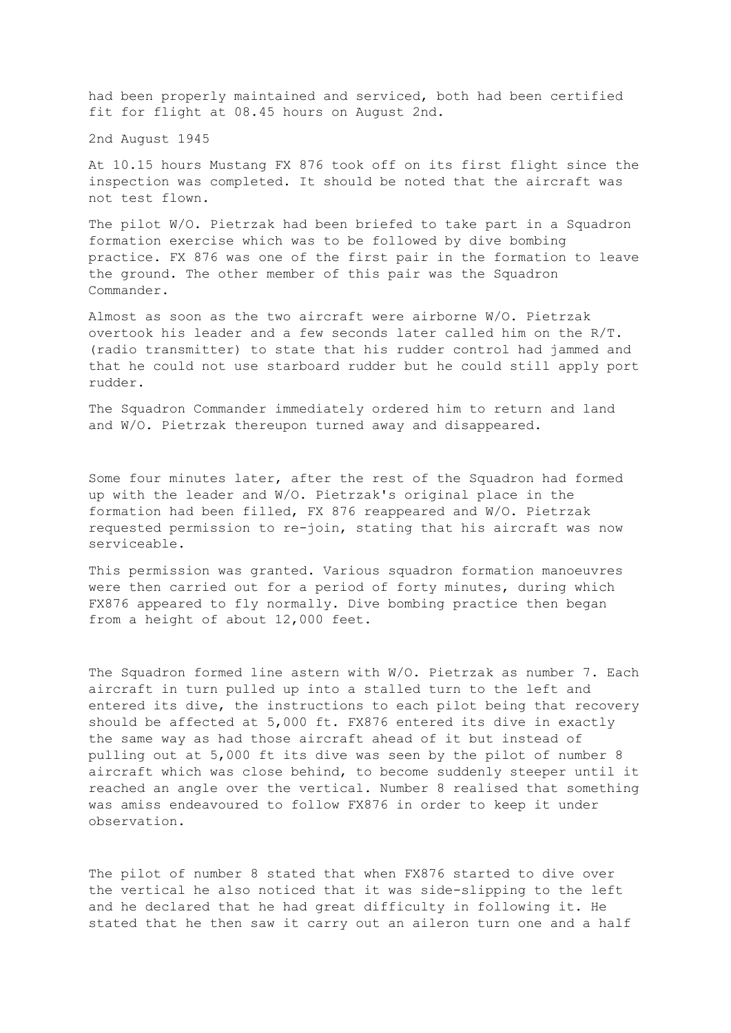had been properly maintained and serviced, both had been certified fit for flight at 08.45 hours on August 2nd.

2nd August 1945

At 10.15 hours Mustang FX 876 took off on its first flight since the inspection was completed. It should be noted that the aircraft was not test flown.

The pilot W/O. Pietrzak had been briefed to take part in a Squadron formation exercise which was to be followed by dive bombing practice. FX 876 was one of the first pair in the formation to leave the ground. The other member of this pair was the Squadron Commander.

Almost as soon as the two aircraft were airborne W/O. Pietrzak overtook his leader and a few seconds later called him on the R/T. (radio transmitter) to state that his rudder control had jammed and that he could not use starboard rudder but he could still apply port rudder.

The Squadron Commander immediately ordered him to return and land and W/O. Pietrzak thereupon turned away and disappeared.

Some four minutes later, after the rest of the Squadron had formed up with the leader and W/O. Pietrzak's original place in the formation had been filled, FX 876 reappeared and W/O. Pietrzak requested permission to re-join, stating that his aircraft was now serviceable.

This permission was granted. Various squadron formation manoeuvres were then carried out for a period of forty minutes, during which FX876 appeared to fly normally. Dive bombing practice then began from a height of about 12,000 feet.

The Squadron formed line astern with W/O. Pietrzak as number 7. Each aircraft in turn pulled up into a stalled turn to the left and entered its dive, the instructions to each pilot being that recovery should be affected at 5,000 ft. FX876 entered its dive in exactly the same way as had those aircraft ahead of it but instead of pulling out at 5,000 ft its dive was seen by the pilot of number 8 aircraft which was close behind, to become suddenly steeper until it reached an angle over the vertical. Number 8 realised that something was amiss endeavoured to follow FX876 in order to keep it under observation.

The pilot of number 8 stated that when FX876 started to dive over the vertical he also noticed that it was side-slipping to the left and he declared that he had great difficulty in following it. He stated that he then saw it carry out an aileron turn one and a half